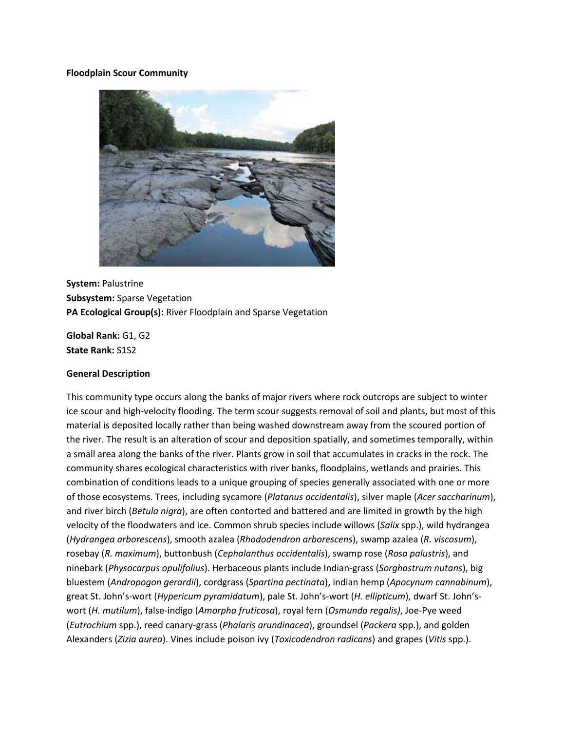#### **Floodplain Scour Community**



**System:** Palustrine **Subsystem:** Sparse Vegetation **PA Ecological Group(s):** River Floodplain and Sparse Vegetation

**Global Rank:** G1, G2 **State Rank:** S1S2

#### **General Description**

This community type occurs along the banks of major rivers where rock outcrops are subject to winter ice scour and high-velocity flooding. The term scour suggests removal of soil and plants, but most of this material is deposited locally rather than being washed downstream away from the scoured portion of the river. The result is an alteration of scour and deposition spatially, and sometimes temporally, within a small area along the banks of the river. Plants grow in soil that accumulates in cracks in the rock. The community shares ecological characteristics with river banks, floodplains, wetlands and prairies. This combination of conditions leads to a unique grouping of species generally associated with one or more of those ecosystems. Trees, including sycamore (*Platanus occidentalis*), silver maple (*Acer saccharinum*), and river birch (*Betula nigra*), are often contorted and battered and are limited in growth by the high velocity of the floodwaters and ice. Common shrub species include willows (*Salix* spp.), wild hydrangea (*Hydrangea arborescens*), smooth azalea (*Rhododendron arborescens*), swamp azalea (*R. viscosum*), rosebay (*R. maximum*), buttonbush (*Cephalanthus occidentalis*), swamp rose (*Rosa palustris*), and ninebark (*Physocarpus opulifolius*). Herbaceous plants include Indian-grass (*Sorghastrum nutans*), big bluestem (*Andropogon gerardii*), cordgrass (*Spartina pectinata*), indian hemp (*Apocynum cannabinum*), great St. John's-wort (*Hypericum pyramidatum*), pale St. John's-wort (*H. ellipticum*), dwarf St. John'swort (*H. mutilum*), false-indigo (*Amorpha fruticosa*), royal fern (*Osmunda regalis)*, Joe-Pye weed (*Eutrochium* spp.), reed canary-grass (*Phalaris arundinacea*), groundsel (*Packera* spp.), and golden Alexanders (*Zizia aurea*). Vines include poison ivy (*Toxicodendron radicans*) and grapes (*Vitis* spp.).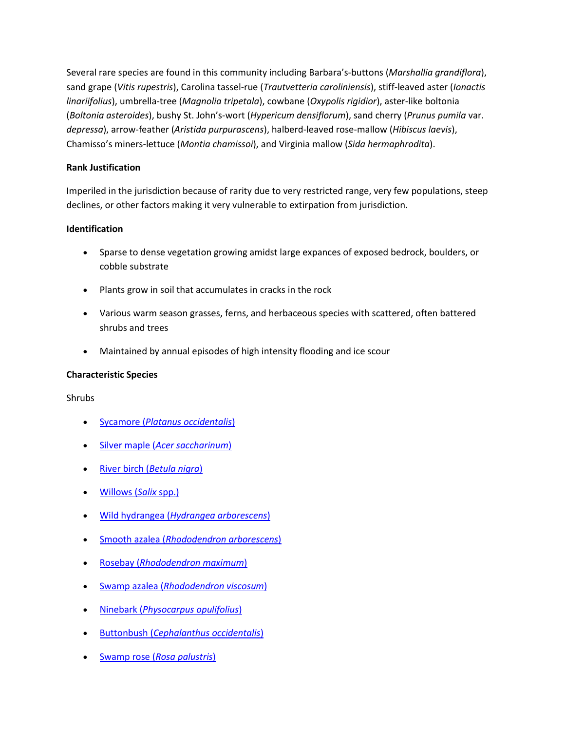Several rare species are found in this community including Barbara's-buttons (*Marshallia grandiflora*), sand grape (*Vitis rupestris*), Carolina tassel-rue (*Trautvetteria caroliniensis*), stiff-leaved aster (*Ionactis linariifolius*), umbrella-tree (*Magnolia tripetala*), cowbane (*Oxypolis rigidior*), aster-like boltonia (*Boltonia asteroides*), bushy St. John's-wort (*Hypericum densiflorum*), sand cherry (*Prunus pumila* var. *depressa*), arrow-feather (*Aristida purpurascens*), halberd-leaved rose-mallow (*Hibiscus laevis*), Chamisso's miners-lettuce (*Montia chamissoi*), and Virginia mallow (*Sida hermaphrodita*).

# **Rank Justification**

Imperiled in the jurisdiction because of rarity due to very restricted range, very few populations, steep declines, or other factors making it very vulnerable to extirpation from jurisdiction.

# **Identification**

- Sparse to dense vegetation growing amidst large expances of exposed bedrock, boulders, or cobble substrate
- Plants grow in soil that accumulates in cracks in the rock
- Various warm season grasses, ferns, and herbaceous species with scattered, often battered shrubs and trees
- Maintained by annual episodes of high intensity flooding and ice scour

# **Characteristic Species**

**Shrubs** 

- Sycamore (*[Platanus occidentalis](http://www.natureserve.org/explorer/servlet/NatureServe?searchName=Platanus+occidentalis)*)
- Silver maple (*[Acer saccharinum](http://www.natureserve.org/explorer/servlet/NatureServe?searchName=Acer+saccharinum)*)
- River birch (*[Betula nigra](http://www.natureserve.org/explorer/servlet/NatureServe?searchName=Betula+nigra)*)
- [Willows \(](http://www.natureserve.org/explorer/servlet/NatureServe?searchSciOrCommonName=salix)*Salix* spp.)
- Wild hydrangea (*[Hydrangea arborescens](http://www.natureserve.org/explorer/servlet/NatureServe?searchName=Hydrangea+arborescens)*)
- Smooth azalea (*[Rhododendron arborescens](http://www.natureserve.org/explorer/servlet/NatureServe?searchName=Rhododendron+arborescens)*)
- Rosebay (*[Rhododendron maximum](http://www.natureserve.org/explorer/servlet/NatureServe?searchName=Rhododendron+maximum)*)
- Swamp azalea (*[Rhododendron viscosum](http://www.natureserve.org/explorer/servlet/NatureServe?searchName=Rhododendron+viscosum)*)
- Ninebark (*[Physocarpus opulifolius](http://www.natureserve.org/explorer/servlet/NatureServe?searchName=Physocarpus+opulifolius)*)
- Buttonbush (*[Cephalanthus occidentalis](http://www.natureserve.org/explorer/servlet/NatureServe?searchName=Cephalanthus+occidentalis)*)
- Swamp rose (*[Rosa palustris](http://www.natureserve.org/explorer/servlet/NatureServe?searchName=Rosa+palustris)*)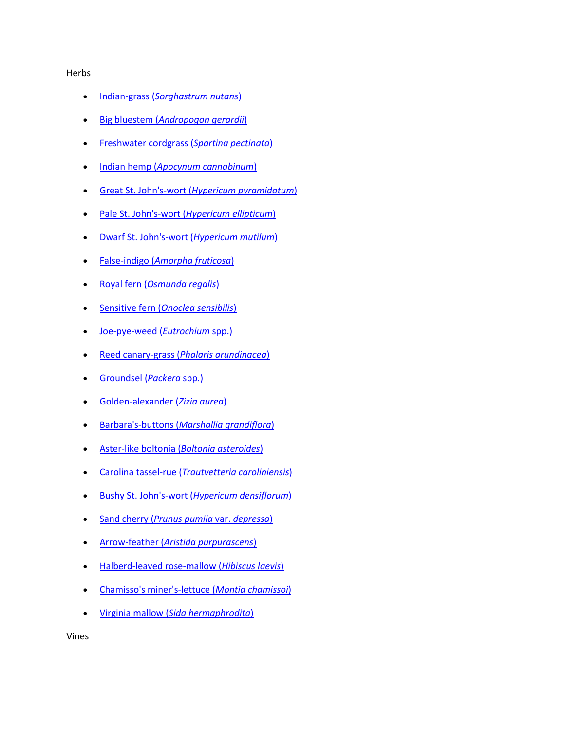#### Herbs

- Indian-grass (*[Sorghastrum nutans](http://www.natureserve.org/explorer/servlet/NatureServe?searchName=Sorghastrum+nutans)*)
- Big bluestem (*[Andropogon gerardii](http://www.natureserve.org/explorer/servlet/NatureServe?searchName=Andropogon+gerardii)*)
- [Freshwater cordgrass \(](http://www.natureserve.org/explorer/servlet/NatureServe?searchName=Spartina+pectinata)*Spartina pectinata*)
- Indian hemp (*[Apocynum cannabinum](http://www.natureserve.org/explorer/servlet/NatureServe?searchName=Apocynum+cannabinum)*)
- Great St. John's-wort (*[Hypericum pyramidatum](http://www.natureserve.org/explorer/servlet/NatureServe?searchName=Hypericum+pyramidatum)*)
- Pale St. John's-wort (*[Hypericum ellipticum](http://www.natureserve.org/explorer/servlet/NatureServe?searchName=Hypericum+ellipticum)*)
- [Dwarf St. John's-wort \(](http://www.natureserve.org/explorer/servlet/NatureServe?searchName=Hypericum+mutilum)*Hypericum mutilum*)
- False-indigo (*[Amorpha fruticosa](http://www.natureserve.org/explorer/servlet/NatureServe?searchName=Amorpha+fruticosa)*)
- Royal fern (*[Osmunda regalis](http://www.natureserve.org/explorer/servlet/NatureServe?searchName=Osmunda+regalis)*)
- Sensitive fern (*[Onoclea sensibilis](http://www.natureserve.org/explorer/servlet/NatureServe?searchName=Onoclea+sensibilis)*)
- [Joe-pye-weed \(](http://www.natureserve.org/explorer/servlet/NatureServe?searchSciOrCommonName=eutrochium)*Eutrochium* spp.)
- Reed canary-grass (*[Phalaris arundinacea](http://www.natureserve.org/explorer/servlet/NatureServe?searchName=Phalaris+arundinacea)*)
- [Groundsel \(](http://www.natureserve.org/explorer/servlet/NatureServe?searchSciOrCommonName=packera)*Packera* spp.)
- [Golden-alexander \(](http://www.natureserve.org/explorer/servlet/NatureServe?searchName=Zizia+aurea)*Zizia aurea*)
- Barbara's-buttons (*[Marshallia grandiflora](http://www.natureserve.org/explorer/servlet/NatureServe?searchName=Marshallia+grandiflora)*)
- [Aster-like boltonia \(](http://www.natureserve.org/explorer/servlet/NatureServe?searchName=Boltonia+asteroides)*Boltonia asteroides*)
- Carolina tassel-rue (*[Trautvetteria caroliniensis](http://www.natureserve.org/explorer/servlet/NatureServe?searchName=Trautvetteria+caroliniensis)*)
- Bushy St. John's-wort (*[Hypericum densiflorum](http://www.natureserve.org/explorer/servlet/NatureServe?searchName=Hypericum+densiflorum)*)
- Sand cherry (*[Prunus pumila](http://www.natureserve.org/explorer/servlet/NatureServe?searchName=Prunus+pumila+var.+depressa)* var. *depressa*)
- Arrow-feather (*[Aristida purpurascens](http://www.natureserve.org/explorer/servlet/NatureServe?searchName=Aristida+purpurascens)*)
- [Halberd-leaved rose-mallow \(](http://www.natureserve.org/explorer/servlet/NatureServe?searchName=Hibiscus+laevis)*Hibiscus laevis*)
- [Chamisso's miner's-lettuce \(](http://www.natureserve.org/explorer/servlet/NatureServe?searchName=Montia+chamissoi)*Montia chamissoi*)
- Virginia mallow (*[Sida hermaphrodita](http://www.natureserve.org/explorer/servlet/NatureServe?searchName=Sida+hermaphrodita)*)

Vines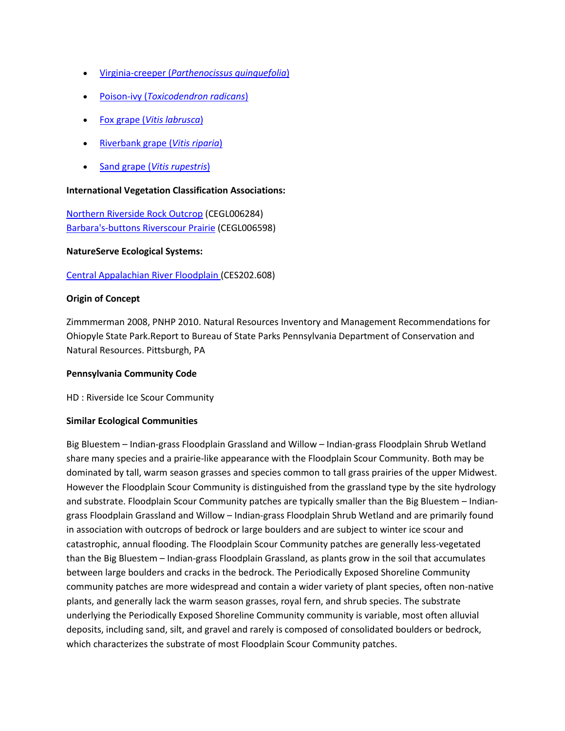- Virginia-creeper (*[Parthenocissus quinquefolia](http://www.natureserve.org/explorer/servlet/NatureServe?searchName=Parthenocissus+quinquefolia)*)
- Poison-ivy (*[Toxicodendron radicans](http://www.natureserve.org/explorer/servlet/NatureServe?searchName=Toxicodendron+radicans)*)
- Fox grape (*[Vitis labrusca](http://www.natureserve.org/explorer/servlet/NatureServe?searchName=Vitis+labrusca)*)
- [Riverbank grape \(](http://www.natureserve.org/explorer/servlet/NatureServe?searchName=Vitis+riparia)*Vitis riparia*)
- Sand grape (*[Vitis rupestris](http://www.natureserve.org/explorer/servlet/NatureServe?searchName=Vitis+rupestris)*)

# **International Vegetation Classification Associations:**

[Northern Riverside Rock Outcrop](http://www.natureserve.org/explorer/servlet/NatureServe?searchCommunityUid=ELEMENT_GLOBAL.2.690014) (CEGL006284) [Barbara's-buttons Riverscour Prairie](http://www.natureserve.org/explorer/servlet/NatureServe?searchCommunityUid=ELEMENT_GLOBAL.2.800164) (CEGL006598)

### **NatureServe Ecological Systems:**

[Central Appalachian River Floodplain \(](http://www.natureserve.org/explorer/servlet/NatureServe?searchSystemUid=ELEMENT_GLOBAL.2.723001)CES202.608)

### **Origin of Concept**

Zimmmerman 2008, PNHP 2010. Natural Resources Inventory and Management Recommendations for Ohiopyle State Park.Report to Bureau of State Parks Pennsylvania Department of Conservation and Natural Resources. Pittsburgh, PA

#### **Pennsylvania Community Code**

HD : Riverside Ice Scour Community

# **Similar Ecological Communities**

Big Bluestem – Indian-grass Floodplain Grassland and Willow – Indian-grass Floodplain Shrub Wetland share many species and a prairie-like appearance with the Floodplain Scour Community. Both may be dominated by tall, warm season grasses and species common to tall grass prairies of the upper Midwest. However the Floodplain Scour Community is distinguished from the grassland type by the site hydrology and substrate. Floodplain Scour Community patches are typically smaller than the Big Bluestem – Indiangrass Floodplain Grassland and Willow – Indian-grass Floodplain Shrub Wetland and are primarily found in association with outcrops of bedrock or large boulders and are subject to winter ice scour and catastrophic, annual flooding. The Floodplain Scour Community patches are generally less-vegetated than the Big Bluestem – Indian-grass Floodplain Grassland, as plants grow in the soil that accumulates between large boulders and cracks in the bedrock. The Periodically Exposed Shoreline Community community patches are more widespread and contain a wider variety of plant species, often non-native plants, and generally lack the warm season grasses, royal fern, and shrub species. The substrate underlying the Periodically Exposed Shoreline Community community is variable, most often alluvial deposits, including sand, silt, and gravel and rarely is composed of consolidated boulders or bedrock, which characterizes the substrate of most Floodplain Scour Community patches.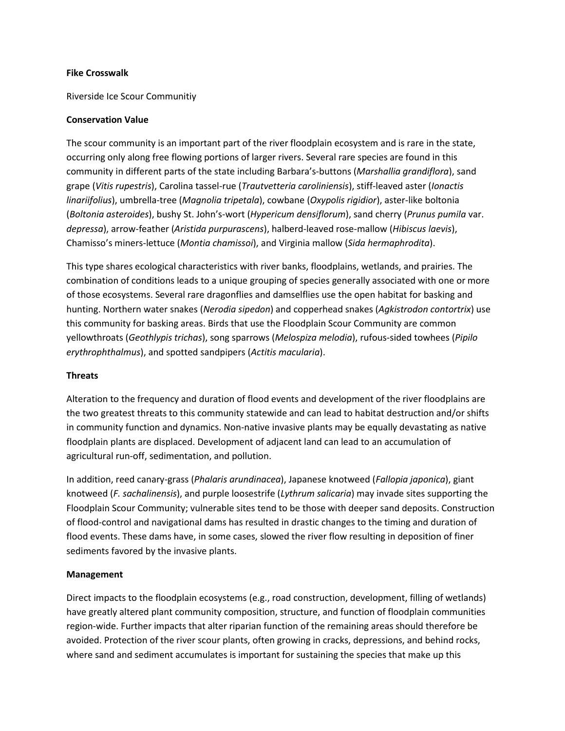# **Fike Crosswalk**

Riverside Ice Scour Communitiy

### **Conservation Value**

The scour community is an important part of the river floodplain ecosystem and is rare in the state, occurring only along free flowing portions of larger rivers. Several rare species are found in this community in different parts of the state including Barbara's-buttons (*Marshallia grandiflora*), sand grape (*Vitis rupestris*), Carolina tassel-rue (*Trautvetteria caroliniensis*), stiff-leaved aster (*Ionactis linariifolius*), umbrella-tree (*Magnolia tripetala*), cowbane (*Oxypolis rigidior*), aster-like boltonia (*Boltonia asteroides*), bushy St. John's-wort (*Hypericum densiflorum*), sand cherry (*Prunus pumila* var. *depressa*), arrow-feather (*Aristida purpurascens*), halberd-leaved rose-mallow (*Hibiscus laevis*), Chamisso's miners-lettuce (*Montia chamissoi*), and Virginia mallow (*Sida hermaphrodita*).

This type shares ecological characteristics with river banks, floodplains, wetlands, and prairies. The combination of conditions leads to a unique grouping of species generally associated with one or more of those ecosystems. Several rare dragonflies and damselflies use the open habitat for basking and hunting. Northern water snakes (*Nerodia sipedon*) and copperhead snakes (*Agkistrodon contortrix*) use this community for basking areas. Birds that use the Floodplain Scour Community are common yellowthroats (*Geothlypis trichas*), song sparrows (*Melospiza melodia*), rufous-sided towhees (*Pipilo erythrophthalmus*), and spotted sandpipers (*Actitis macularia*).

# **Threats**

Alteration to the frequency and duration of flood events and development of the river floodplains are the two greatest threats to this community statewide and can lead to habitat destruction and/or shifts in community function and dynamics. Non-native invasive plants may be equally devastating as native floodplain plants are displaced. Development of adjacent land can lead to an accumulation of agricultural run-off, sedimentation, and pollution.

In addition, reed canary-grass (*Phalaris arundinacea*), Japanese knotweed (*Fallopia japonica*), giant knotweed (*F. sachalinensis*), and purple loosestrife (*Lythrum salicaria*) may invade sites supporting the Floodplain Scour Community; vulnerable sites tend to be those with deeper sand deposits. Construction of flood-control and navigational dams has resulted in drastic changes to the timing and duration of flood events. These dams have, in some cases, slowed the river flow resulting in deposition of finer sediments favored by the invasive plants.

# **Management**

Direct impacts to the floodplain ecosystems (e.g., road construction, development, filling of wetlands) have greatly altered plant community composition, structure, and function of floodplain communities region-wide. Further impacts that alter riparian function of the remaining areas should therefore be avoided. Protection of the river scour plants, often growing in cracks, depressions, and behind rocks, where sand and sediment accumulates is important for sustaining the species that make up this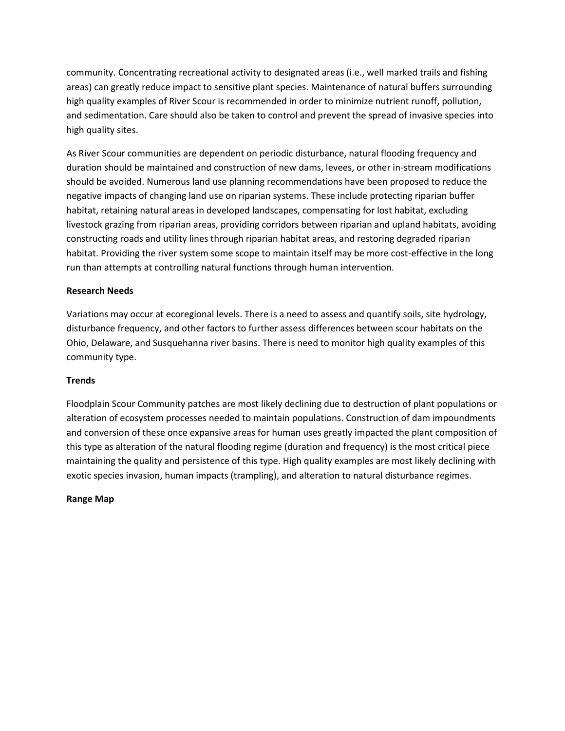community. Concentrating recreational activity to designated areas (i.e., well marked trails and fishing areas) can greatly reduce impact to sensitive plant species. Maintenance of natural buffers surrounding high quality examples of River Scour is recommended in order to minimize nutrient runoff, pollution, and sedimentation. Care should also be taken to control and prevent the spread of invasive species into high quality sites.

As River Scour communities are dependent on periodic disturbance, natural flooding frequency and duration should be maintained and construction of new dams, levees, or other in-stream modifications should be avoided. Numerous land use planning recommendations have been proposed to reduce the negative impacts of changing land use on riparian systems. These include protecting riparian buffer habitat, retaining natural areas in developed landscapes, compensating for lost habitat, excluding livestock grazing from riparian areas, providing corridors between riparian and upland habitats, avoiding constructing roads and utility lines through riparian habitat areas, and restoring degraded riparian habitat. Providing the river system some scope to maintain itself may be more cost-effective in the long run than attempts at controlling natural functions through human intervention.

# **Research Needs**

Variations may occur at ecoregional levels. There is a need to assess and quantify soils, site hydrology, disturbance frequency, and other factors to further assess differences between scour habitats on the Ohio, Delaware, and Susquehanna river basins. There is need to monitor high quality examples of this community type.

# **Trends**

Floodplain Scour Community patches are most likely declining due to destruction of plant populations or alteration of ecosystem processes needed to maintain populations. Construction of dam impoundments and conversion of these once expansive areas for human uses greatly impacted the plant composition of this type as alteration of the natural flooding regime (duration and frequency) is the most critical piece maintaining the quality and persistence of this type. High quality examples are most likely declining with exotic species invasion, human impacts (trampling), and alteration to natural disturbance regimes.

# **Range Map**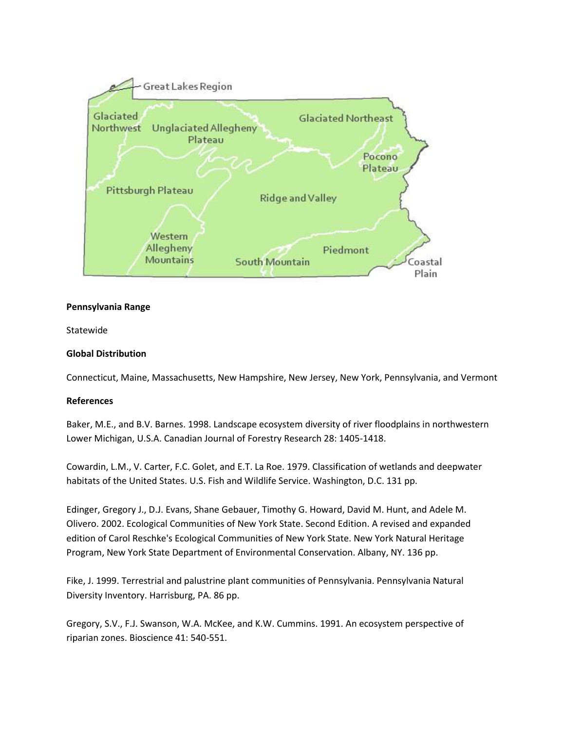

### **Pennsylvania Range**

Statewide

# **Global Distribution**

Connecticut, Maine, Massachusetts, New Hampshire, New Jersey, New York, Pennsylvania, and Vermont

#### **References**

Baker, M.E., and B.V. Barnes. 1998. Landscape ecosystem diversity of river floodplains in northwestern Lower Michigan, U.S.A. Canadian Journal of Forestry Research 28: 1405-1418.

Cowardin, L.M., V. Carter, F.C. Golet, and E.T. La Roe. 1979. Classification of wetlands and deepwater habitats of the United States. U.S. Fish and Wildlife Service. Washington, D.C. 131 pp.

Edinger, Gregory J., D.J. Evans, Shane Gebauer, Timothy G. Howard, David M. Hunt, and Adele M. Olivero. 2002. Ecological Communities of New York State. Second Edition. A revised and expanded edition of Carol Reschke's Ecological Communities of New York State. New York Natural Heritage Program, New York State Department of Environmental Conservation. Albany, NY. 136 pp.

Fike, J. 1999. Terrestrial and palustrine plant communities of Pennsylvania. Pennsylvania Natural Diversity Inventory. Harrisburg, PA. 86 pp.

Gregory, S.V., F.J. Swanson, W.A. McKee, and K.W. Cummins. 1991. An ecosystem perspective of riparian zones. Bioscience 41: 540-551.